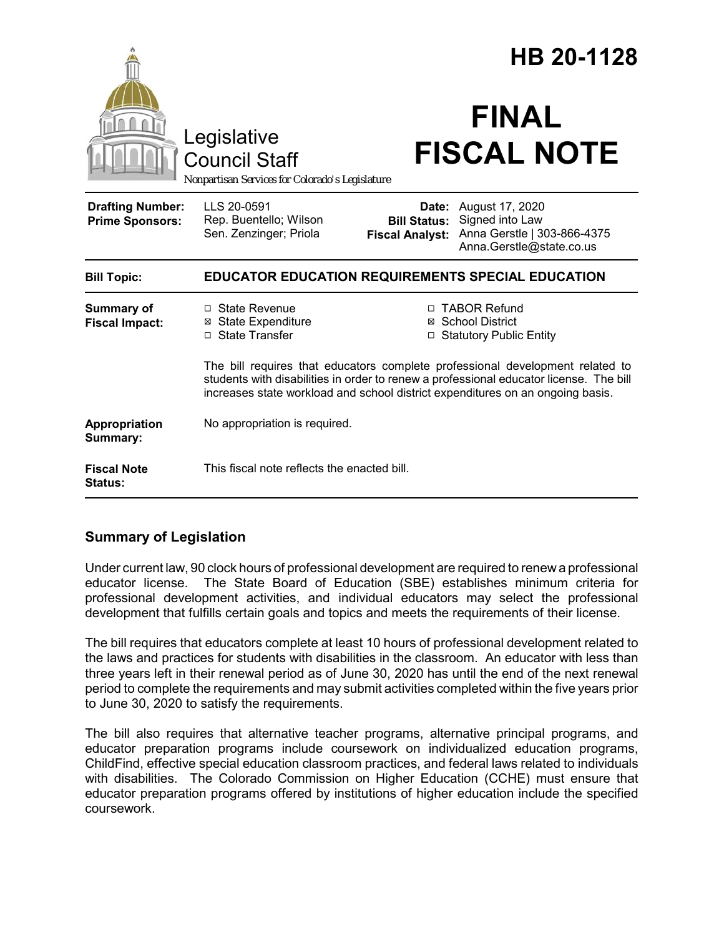|                                                                                        |                                                                                                                                                                                                                                                           |                                               | HB 20-1128                                                                                                 |
|----------------------------------------------------------------------------------------|-----------------------------------------------------------------------------------------------------------------------------------------------------------------------------------------------------------------------------------------------------------|-----------------------------------------------|------------------------------------------------------------------------------------------------------------|
| Legislative<br><b>Council Staff</b><br>Nonpartisan Services for Colorado's Legislature |                                                                                                                                                                                                                                                           | <b>FINAL</b><br><b>FISCAL NOTE</b>            |                                                                                                            |
| <b>Drafting Number:</b><br><b>Prime Sponsors:</b>                                      | LLS 20-0591<br>Rep. Buentello; Wilson<br>Sen. Zenzinger; Priola                                                                                                                                                                                           | <b>Bill Status:</b><br><b>Fiscal Analyst:</b> | <b>Date:</b> August 17, 2020<br>Signed into Law<br>Anna Gerstle   303-866-4375<br>Anna.Gerstle@state.co.us |
| <b>Bill Topic:</b>                                                                     | <b>EDUCATOR EDUCATION REQUIREMENTS SPECIAL EDUCATION</b>                                                                                                                                                                                                  |                                               |                                                                                                            |
| <b>Summary of</b><br><b>Fiscal Impact:</b>                                             | $\Box$ State Revenue<br><b>⊠</b> State Expenditure<br>□ State Transfer                                                                                                                                                                                    |                                               | □ TABOR Refund<br>⊠ School District<br>□ Statutory Public Entity                                           |
|                                                                                        | The bill requires that educators complete professional development related to<br>students with disabilities in order to renew a professional educator license. The bill<br>increases state workload and school district expenditures on an ongoing basis. |                                               |                                                                                                            |
| Appropriation<br>Summary:                                                              | No appropriation is required.                                                                                                                                                                                                                             |                                               |                                                                                                            |
| <b>Fiscal Note</b><br>Status:                                                          | This fiscal note reflects the enacted bill.                                                                                                                                                                                                               |                                               |                                                                                                            |

# **Summary of Legislation**

Under current law, 90 clock hours of professional development are required to renew a professional educator license. The State Board of Education (SBE) establishes minimum criteria for professional development activities, and individual educators may select the professional development that fulfills certain goals and topics and meets the requirements of their license.

The bill requires that educators complete at least 10 hours of professional development related to the laws and practices for students with disabilities in the classroom. An educator with less than three years left in their renewal period as of June 30, 2020 has until the end of the next renewal period to complete the requirements and may submit activities completed within the five years prior to June 30, 2020 to satisfy the requirements.

The bill also requires that alternative teacher programs, alternative principal programs, and educator preparation programs include coursework on individualized education programs, ChildFind, effective special education classroom practices, and federal laws related to individuals with disabilities. The Colorado Commission on Higher Education (CCHE) must ensure that educator preparation programs offered by institutions of higher education include the specified coursework.